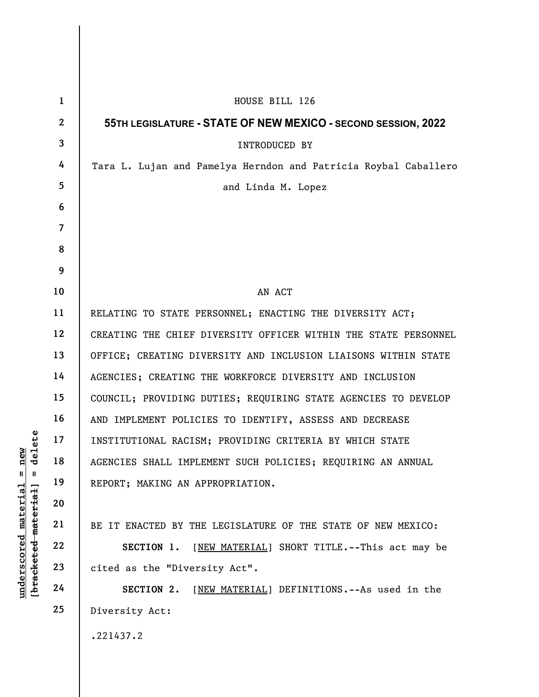|                                                       | $\mathbf{1}$    | HOUSE BILL 126                                                  |
|-------------------------------------------------------|-----------------|-----------------------------------------------------------------|
| delete<br>new<br>$\mathbb{I}$<br>Ш<br><u>material</u> | $\mathbf{2}$    | 55TH LEGISLATURE - STATE OF NEW MEXICO - SECOND SESSION, 2022   |
|                                                       | $\mathbf{3}$    | INTRODUCED BY                                                   |
|                                                       | 4               | Tara L. Lujan and Pamelya Herndon and Patricia Roybal Caballero |
|                                                       | $5\phantom{.0}$ | and Linda M. Lopez                                              |
|                                                       | 6               |                                                                 |
|                                                       | $\overline{7}$  |                                                                 |
|                                                       | 8               |                                                                 |
|                                                       | 9               |                                                                 |
|                                                       | 10              | AN ACT                                                          |
|                                                       | 11              | RELATING TO STATE PERSONNEL; ENACTING THE DIVERSITY ACT;        |
|                                                       | 12              | CREATING THE CHIEF DIVERSITY OFFICER WITHIN THE STATE PERSONNEL |
|                                                       | 13              | OFFICE; CREATING DIVERSITY AND INCLUSION LIAISONS WITHIN STATE  |
|                                                       | 14              | AGENCIES; CREATING THE WORKFORCE DIVERSITY AND INCLUSION        |
|                                                       | 15              | COUNCIL; PROVIDING DUTIES; REQUIRING STATE AGENCIES TO DEVELOP  |
|                                                       | 16              | AND IMPLEMENT POLICIES TO IDENTIFY, ASSESS AND DECREASE         |
|                                                       | 17              | INSTITUTIONAL RACISM; PROVIDING CRITERIA BY WHICH STATE         |
|                                                       | 18              | AGENCIES SHALL IMPLEMENT SUCH POLICIES; REQUIRING AN ANNUAL     |
|                                                       | 19              | REPORT; MAKING AN APPROPRIATION.                                |
|                                                       | 20              |                                                                 |
|                                                       | 21              | BE IT ENACTED BY THE LEGISLATURE OF THE STATE OF NEW MEXICO:    |
|                                                       | 22              | [NEW MATERIAL] SHORT TITLE.--This act may be<br>SECTION 1.      |
| [bracketed material]<br><u>underscored</u>            | 23              | cited as the "Diversity Act".                                   |
|                                                       | 24              | SECTION 2.<br>[NEW MATERIAL] DEFINITIONS.--As used in the       |
|                                                       | 25              | Diversity Act:                                                  |
|                                                       |                 | .221437.2                                                       |
|                                                       |                 |                                                                 |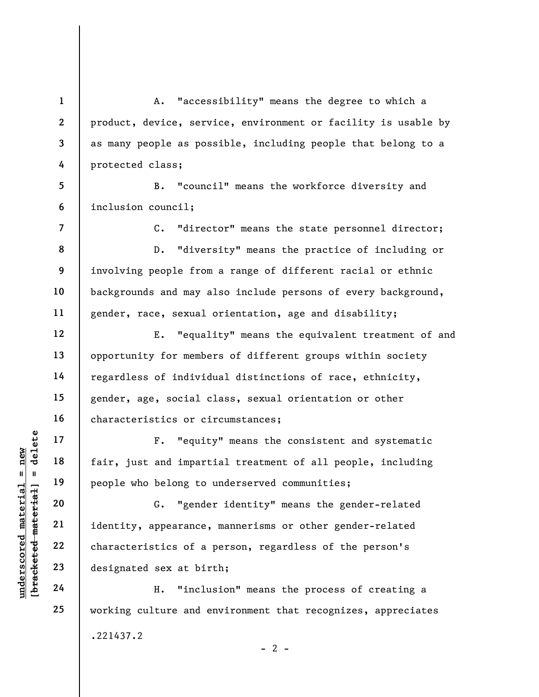A. "accessibility" means the degree to which a product, device, service, environment or facility is usable by as many people as possible, including people that belong to a protected class;

5 6 B. "council" means the workforce diversity and inclusion council;

C. "director" means the state personnel director; D. "diversity" means the practice of including or involving people from a range of different racial or ethnic backgrounds and may also include persons of every background, gender, race, sexual orientation, age and disability;

12 13 14 15 16 E. "equality" means the equivalent treatment of and opportunity for members of different groups within society regardless of individual distinctions of race, ethnicity, gender, age, social class, sexual orientation or other characteristics or circumstances;

F. "equity" means the consistent and systematic fair, just and impartial treatment of all people, including people who belong to underserved communities;

understand material material end of the same of the same of the same of the same of the same of the same of the same of the same of the same of the same of the same of the same of the same of the same of the same of the sa G. "gender identity" means the gender-related identity, appearance, mannerisms or other gender-related characteristics of a person, regardless of the person's designated sex at birth;

H. "inclusion" means the process of creating a working culture and environment that recognizes, appreciates .221437.2  $- 2 -$ 

1

2

3

4

7

8

9

10

11

17

18

19

20

21

22

23

24

25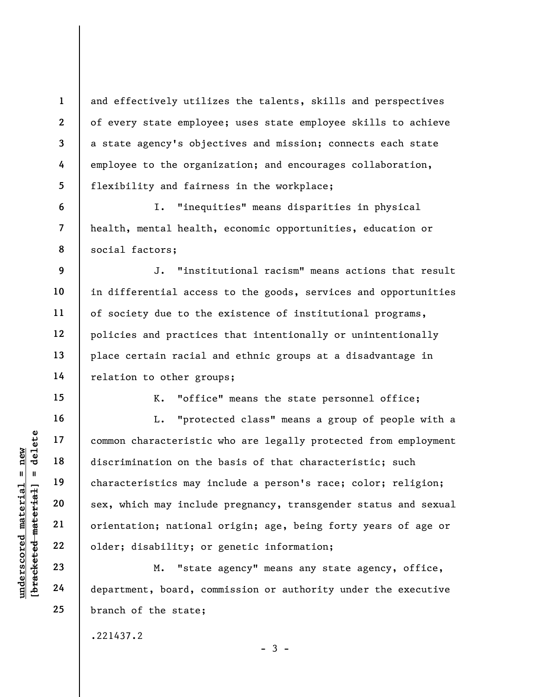and effectively utilizes the talents, skills and perspectives of every state employee; uses state employee skills to achieve a state agency's objectives and mission; connects each state employee to the organization; and encourages collaboration, flexibility and fairness in the workplace;

I. "inequities" means disparities in physical health, mental health, economic opportunities, education or social factors;

J. "institutional racism" means actions that result in differential access to the goods, services and opportunities of society due to the existence of institutional programs, policies and practices that intentionally or unintentionally place certain racial and ethnic groups at a disadvantage in relation to other groups;

K. "office" means the state personnel office;

underscored material = new [bracketed material] = delete L. "protected class" means a group of people with a common characteristic who are legally protected from employment discrimination on the basis of that characteristic; such characteristics may include a person's race; color; religion; sex, which may include pregnancy, transgender status and sexual orientation; national origin; age, being forty years of age or older; disability; or genetic information;

M. "state agency" means any state agency, office, department, board, commission or authority under the executive branch of the state;

 $-3 -$ 

.221437.2

5 6

7

8

9

10

11

12

13

14

15

16

17

18

19

20

21

22

23

24

25

1

2

3

4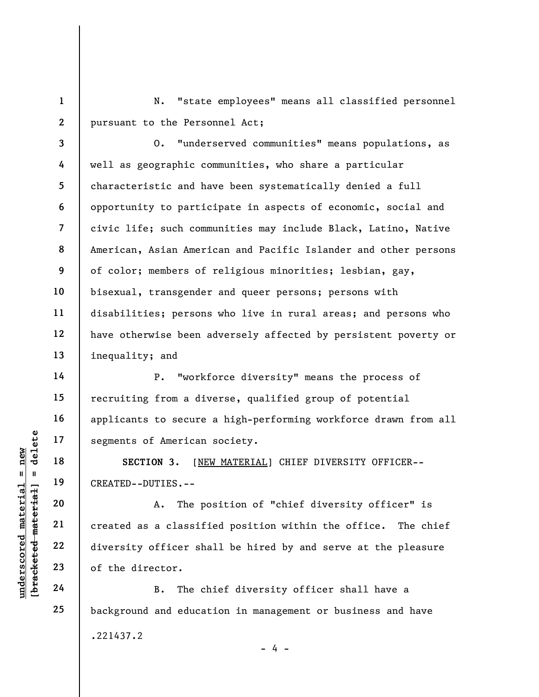1 2 N. "state employees" means all classified personnel pursuant to the Personnel Act;

3 4 5 6 7 8 9 10 11 12 13 O. "underserved communities" means populations, as well as geographic communities, who share a particular characteristic and have been systematically denied a full opportunity to participate in aspects of economic, social and civic life; such communities may include Black, Latino, Native American, Asian American and Pacific Islander and other persons of color; members of religious minorities; lesbian, gay, bisexual, transgender and queer persons; persons with disabilities; persons who live in rural areas; and persons who have otherwise been adversely affected by persistent poverty or inequality; and

P. "workforce diversity" means the process of recruiting from a diverse, qualified group of potential applicants to secure a high-performing workforce drawn from all segments of American society.

SECTION 3. [NEW MATERIAL] CHIEF DIVERSITY OFFICER-- CREATED--DUTIES.--

underscored material = new [bracketed material] = delete A. The position of "chief diversity officer" is created as a classified position within the office. The chief diversity officer shall be hired by and serve at the pleasure of the director.

B. The chief diversity officer shall have a background and education in management or business and have .221437.2 - 4 -

14

15

16

17

18

19

20

21

22

23

24

25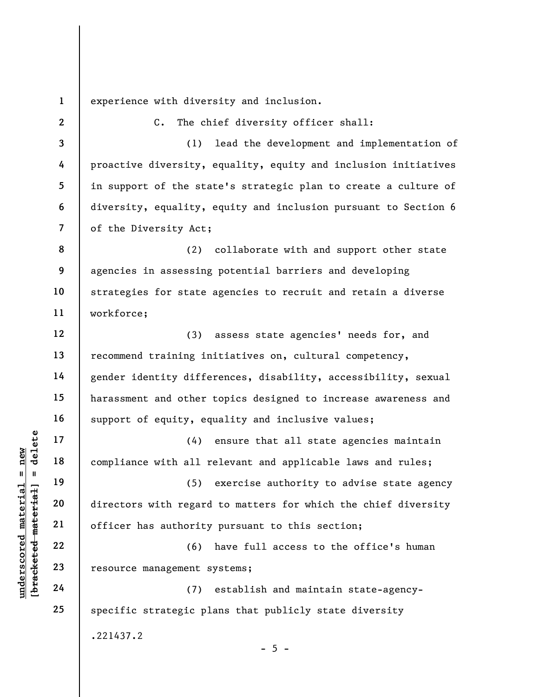1 experience with diversity and inclusion.

of the Diversity Act;

.221437.2

C. The chief diversity officer shall:

proactive diversity, equality, equity and inclusion initiatives

in support of the state's strategic plan to create a culture of

diversity, equality, equity and inclusion pursuant to Section 6

agencies in assessing potential barriers and developing

strategies for state agencies to recruit and retain a diverse

(1) lead the development and implementation of

(2) collaborate with and support other state

| ם שבבש<br>השב       |  |  |
|---------------------|--|--|
|                     |  |  |
|                     |  |  |
| <b>ו המרבדם דמד</b> |  |  |
|                     |  |  |
|                     |  |  |
|                     |  |  |

2

3

4

5

6

7

8

9

10

understand material material compliance with all r<br>
editional material material material material material compliance with all r<br>
directors with regard<br>
directors with regard<br>
officer has authority<br>
(6)<br>
resource managemen 11 12 13 14 15 16 17 18 19 20 21 22 23 24 25 workforce; (3) assess state agencies' needs for, and recommend training initiatives on, cultural competency, gender identity differences, disability, accessibility, sexual harassment and other topics designed to increase awareness and support of equity, equality and inclusive values; (4) ensure that all state agencies maintain compliance with all relevant and applicable laws and rules; (5) exercise authority to advise state agency directors with regard to matters for which the chief diversity officer has authority pursuant to this section; (6) have full access to the office's human resource management systems; (7) establish and maintain state-agencyspecific strategic plans that publicly state diversity

 $- 5 -$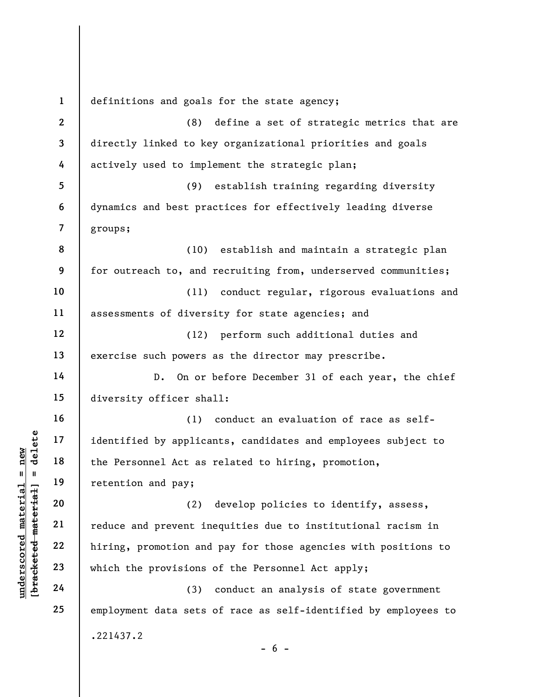understand material material end and provisions<br>
which the personnel Act as<br>
retention and pay;<br>
20<br>
10<br>
10<br>
12<br>
22<br>
23<br>
12<br>
24<br>
24<br>
24<br>
24<br>
23<br>
24<br>
24<br>
24<br>
23<br>
24<br>
24 1 2 3 4 5 6 7 8 9 10 11 12 13 14 15 16 17 18 19 20 21 22 23 24 25 definitions and goals for the state agency; (8) define a set of strategic metrics that are directly linked to key organizational priorities and goals actively used to implement the strategic plan; (9) establish training regarding diversity dynamics and best practices for effectively leading diverse groups; (10) establish and maintain a strategic plan for outreach to, and recruiting from, underserved communities; (11) conduct regular, rigorous evaluations and assessments of diversity for state agencies; and (12) perform such additional duties and exercise such powers as the director may prescribe. D. On or before December 31 of each year, the chief diversity officer shall: (1) conduct an evaluation of race as selfidentified by applicants, candidates and employees subject to the Personnel Act as related to hiring, promotion, retention and pay; (2) develop policies to identify, assess, reduce and prevent inequities due to institutional racism in hiring, promotion and pay for those agencies with positions to which the provisions of the Personnel Act apply; (3) conduct an analysis of state government employment data sets of race as self-identified by employees to .221437.2  $- 6 -$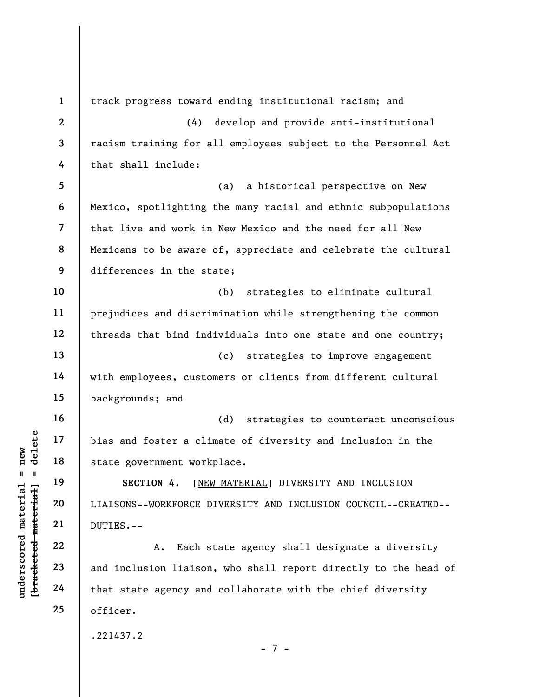UN DER FRIDE MATHEM 19<br>
UN DER FRIDE MATHEM 19<br>
UN DER FRIDE MATERIAL SECTION 4. [NEW<br>
UNITES.--<br>
22<br>
UNITES.--<br>
23<br>
24<br>
24<br>
PUR DUTIES.--<br>
A. Each s<br>
24<br>
That state agency and<br>
that state agency and 1 2 3 4 5 6 7 8 9 10 11 12 13 14 15 16 17 18 19 20 21 22 23 24 25 track progress toward ending institutional racism; and (4) develop and provide anti-institutional racism training for all employees subject to the Personnel Act that shall include: (a) a historical perspective on New Mexico, spotlighting the many racial and ethnic subpopulations that live and work in New Mexico and the need for all New Mexicans to be aware of, appreciate and celebrate the cultural differences in the state; (b) strategies to eliminate cultural prejudices and discrimination while strengthening the common threads that bind individuals into one state and one country; (c) strategies to improve engagement with employees, customers or clients from different cultural backgrounds; and (d) strategies to counteract unconscious bias and foster a climate of diversity and inclusion in the state government workplace. SECTION 4. [NEW MATERIAL] DIVERSITY AND INCLUSION LIAISONS--WORKFORCE DIVERSITY AND INCLUSION COUNCIL--CREATED-- DUTIES.-- A. Each state agency shall designate a diversity and inclusion liaison, who shall report directly to the head of that state agency and collaborate with the chief diversity officer. .221437.2 - 7 -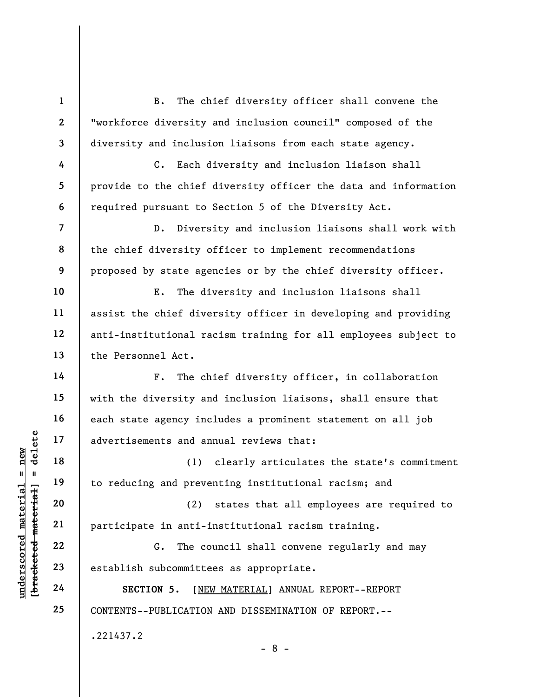B. The chief diversity officer shall convene the "workforce diversity and inclusion council" composed of the diversity and inclusion liaisons from each state agency.

C. Each diversity and inclusion liaison shall provide to the chief diversity officer the data and information required pursuant to Section 5 of the Diversity Act.

D. Diversity and inclusion liaisons shall work with the chief diversity officer to implement recommendations proposed by state agencies or by the chief diversity officer.

E. The diversity and inclusion liaisons shall assist the chief diversity officer in developing and providing anti-institutional racism training for all employees subject to the Personnel Act.

F. The chief diversity officer, in collaboration with the diversity and inclusion liaisons, shall ensure that each state agency includes a prominent statement on all job advertisements and annual reviews that:

(1) clearly articulates the state's commitment to reducing and preventing institutional racism; and

understand and a<br>
understand material material and prevents and and<br>
understanding and prevents<br>
20<br>
understanding and prevents<br>
21<br>
22<br>
23<br>
establish subcommitte<br>
24<br>
SECTION 5. [NEI (2) states that all employees are required to participate in anti-institutional racism training.

G. The council shall convene regularly and may establish subcommittees as appropriate.

SECTION 5. [NEW MATERIAL] ANNUAL REPORT--REPORT CONTENTS--PUBLICATION AND DISSEMINATION OF REPORT.--

.221437.2

1

2

3

4

5

6

7

8

9

10

11

12

13

14

15

16

17

18

19

20

21

22

23

24

25

- 8 -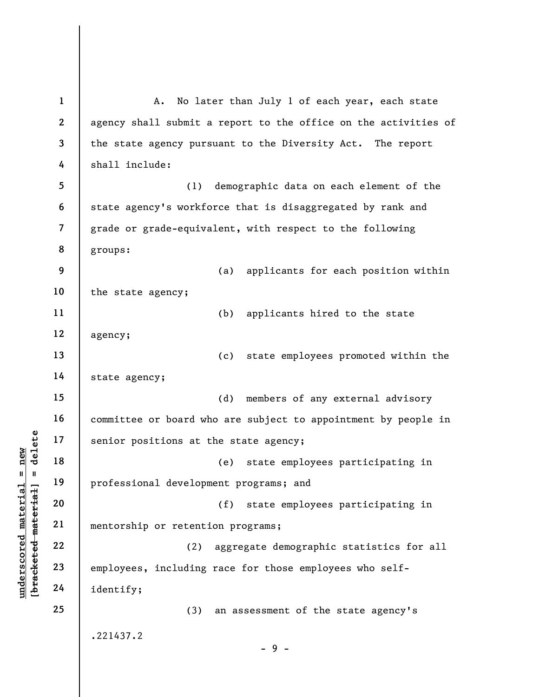under 17<br>
= 18<br>
= 19<br>
= 19<br>
= 19<br>
= 19<br>
= 19<br>
= 19<br>
= 19<br>
= 19<br>
= 19<br>
= 19<br>
= 19<br>
= 19<br>
= 19<br>
= 19<br>
= 19<br>
= 19<br>
= 10<br>
= 10<br>
= 10<br>
= 10<br>
= 10<br>
= 10<br>
= 10<br>
= 10<br>
= 10<br>
= 10<br>
= 10<br>
= 10<br>
= 10<br>
= 10<br>
= 10<br>
= 10<br>
= 10<br>
= 10<br>
= 1 2 3 4 5 6 7 8 9 10 11 12 13 14 15 16 17 18 19 20 21 22 23 24 25 A. No later than July 1 of each year, each state agency shall submit a report to the office on the activities of the state agency pursuant to the Diversity Act. The report shall include: (1) demographic data on each element of the state agency's workforce that is disaggregated by rank and grade or grade-equivalent, with respect to the following groups: (a) applicants for each position within the state agency; (b) applicants hired to the state agency; (c) state employees promoted within the state agency; (d) members of any external advisory committee or board who are subject to appointment by people in senior positions at the state agency; (e) state employees participating in professional development programs; and (f) state employees participating in mentorship or retention programs; (2) aggregate demographic statistics for all employees, including race for those employees who selfidentify; (3) an assessment of the state agency's .221437.2 - 9 -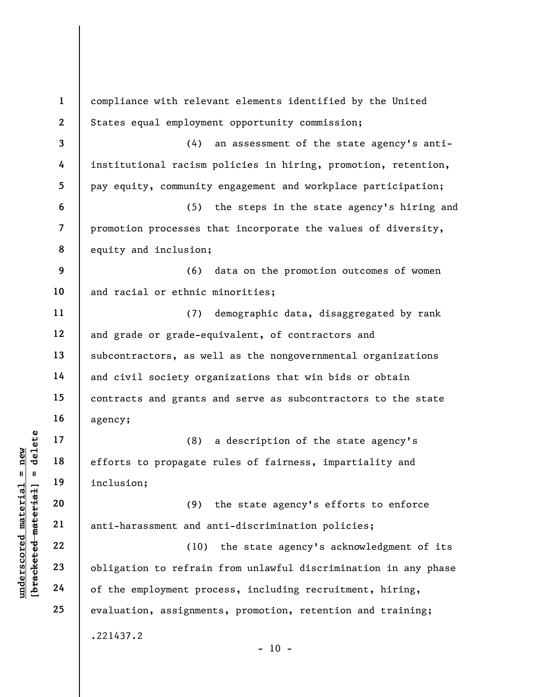underscored material material material experience of the employment produced the employment produced the employment produced material of the employment produced set of the employment produced set of the employment produced 1 2 3 4 5 6 7 8 9 10 11 12 13 14 15 16 17 18 19 20 21 22 23 24 25 compliance with relevant elements identified by the United States equal employment opportunity commission; (4) an assessment of the state agency's antiinstitutional racism policies in hiring, promotion, retention, pay equity, community engagement and workplace participation; (5) the steps in the state agency's hiring and promotion processes that incorporate the values of diversity, equity and inclusion; (6) data on the promotion outcomes of women and racial or ethnic minorities; (7) demographic data, disaggregated by rank and grade or grade-equivalent, of contractors and subcontractors, as well as the nongovernmental organizations and civil society organizations that win bids or obtain contracts and grants and serve as subcontractors to the state agency; (8) a description of the state agency's efforts to propagate rules of fairness, impartiality and inclusion; (9) the state agency's efforts to enforce anti-harassment and anti-discrimination policies; (10) the state agency's acknowledgment of its obligation to refrain from unlawful discrimination in any phase of the employment process, including recruitment, hiring, evaluation, assignments, promotion, retention and training; .221437.2  $- 10 -$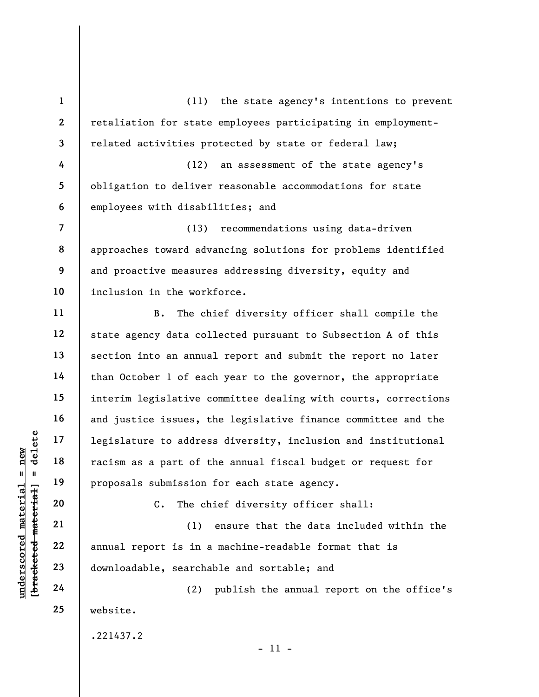1 2 3 4 5 6 7 8 9 10 11 12 (11) the state agency's intentions to prevent retaliation for state employees participating in employmentrelated activities protected by state or federal law; (12) an assessment of the state agency's obligation to deliver reasonable accommodations for state employees with disabilities; and (13) recommendations using data-driven approaches toward advancing solutions for problems identified and proactive measures addressing diversity, equity and inclusion in the workforce. B. The chief diversity officer shall compile the

understand material material experience is an application of the material material contraction of the contraction of the contraction of the contraction of the contraction of the contraction of the contraction of the contra state agency data collected pursuant to Subsection A of this section into an annual report and submit the report no later than October 1 of each year to the governor, the appropriate interim legislative committee dealing with courts, corrections and justice issues, the legislative finance committee and the legislature to address diversity, inclusion and institutional racism as a part of the annual fiscal budget or request for proposals submission for each state agency.

C. The chief diversity officer shall:

(1) ensure that the data included within the annual report is in a machine-readable format that is downloadable, searchable and sortable; and

(2) publish the annual report on the office's website.

.221437.2

13

14

15

16

17

18

19

20

21

22

23

24

25

- 11 -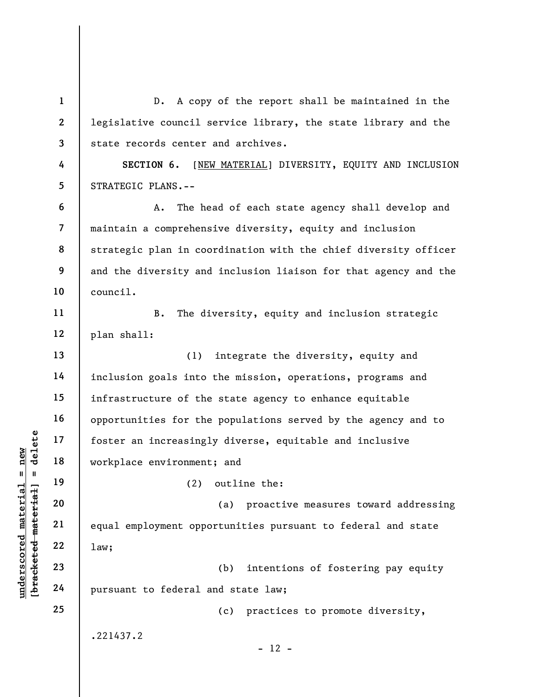under 17<br>
and 18<br>
under 18<br>
under 19<br>
under 19<br>
20<br>
under 22<br>
22<br>
23<br>
under 24<br>
universal<br>
24<br>
universal<br>
24<br>
universal<br>
universal<br>
24<br>
universal<br>
universal<br>
24<br>
universal<br>
24<br>
universal<br>
24<br>
24<br>
29<br>
29<br>
29<br>
29<br>
29<br>
29<br>
29 1 2 3 4 5 6 7 8 9 10 11 12 13 14 15 16 17 18 19 20 21 22 23 24 25 D. A copy of the report shall be maintained in the legislative council service library, the state library and the state records center and archives. SECTION 6. [NEW MATERIAL] DIVERSITY, EQUITY AND INCLUSION STRATEGIC PLANS.-- A. The head of each state agency shall develop and maintain a comprehensive diversity, equity and inclusion strategic plan in coordination with the chief diversity officer and the diversity and inclusion liaison for that agency and the council. B. The diversity, equity and inclusion strategic plan shall: (1) integrate the diversity, equity and inclusion goals into the mission, operations, programs and infrastructure of the state agency to enhance equitable opportunities for the populations served by the agency and to foster an increasingly diverse, equitable and inclusive workplace environment; and (2) outline the: (a) proactive measures toward addressing equal employment opportunities pursuant to federal and state law; (b) intentions of fostering pay equity pursuant to federal and state law; (c) practices to promote diversity, .221437.2  $- 12 -$